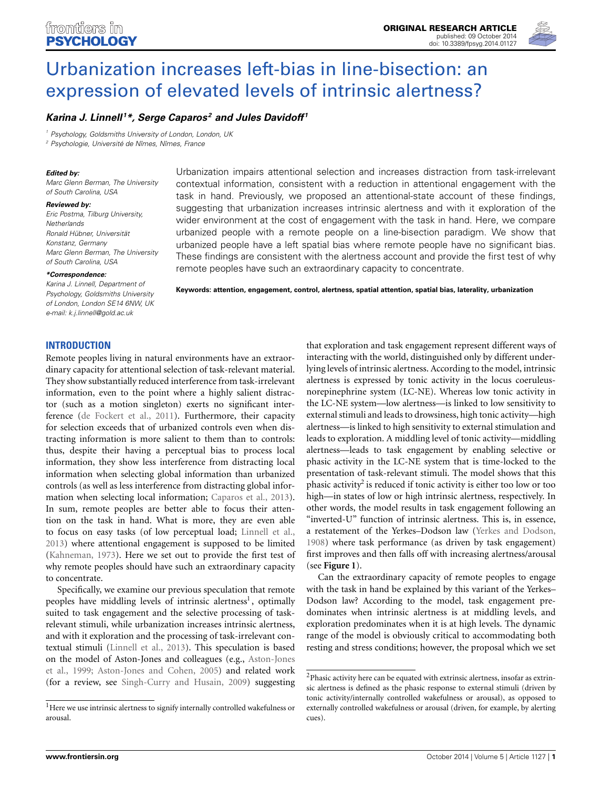

# [Urbanization increases left-bias in line-bisection: an](http://www.frontiersin.org/journal/10.3389/fpsyg.2014.01127/abstract) expression of elevated levels of intrinsic alertness?

# *[Karina J. Linnell](http://community.frontiersin.org/people/u/63367) <sup>1</sup> \*, [Serge Caparos](http://community.frontiersin.org/people/u/99785) <sup>2</sup> and [Jules Davidoff](http://community.frontiersin.org/people/u/10258) <sup>1</sup>*

*<sup>1</sup> Psychology, Goldsmiths University of London, London, UK*

*<sup>2</sup> Psychologie, Université de Nîmes, Nîmes, France*

### *Edited by:*

*Marc Glenn Berman, The University of South Carolina, USA*

#### *Reviewed by:*

*Eric Postma, Tilburg University, Netherlands Ronald Hübner, Universität Konstanz, Germany Marc Glenn Berman, The University of South Carolina, USA*

#### *\*Correspondence:*

*Karina J. Linnell, Department of Psychology, Goldsmiths University of London, London SE14 6NW, UK e-mail: [k.j.linnell@gold.ac.uk](mailto:k.j.linnell@gold.ac.uk)*

Urbanization impairs attentional selection and increases distraction from task-irrelevant contextual information, consistent with a reduction in attentional engagement with the task in hand. Previously, we proposed an attentional-state account of these findings, suggesting that urbanization increases intrinsic alertness and with it exploration of the wider environment at the cost of engagement with the task in hand. Here, we compare urbanized people with a remote people on a line-bisection paradigm. We show that urbanized people have a left spatial bias where remote people have no significant bias. These findings are consistent with the alertness account and provide the first test of why remote peoples have such an extraordinary capacity to concentrate.

**Keywords: attention, engagement, control, alertness, spatial attention, spatial bias, laterality, urbanization**

# **INTRODUCTION**

Remote peoples living in natural environments have an extraordinary capacity for attentional selection of task-relevant material. They show substantially reduced interference from task-irrelevant information, even to the point where a highly salient distractor (such as a motion singleton) exerts no significant interference [\(de Fockert et al.](#page-5-0), [2011](#page-5-0)). Furthermore, their capacity for selection exceeds that of urbanized controls even when distracting information is more salient to them than to controls: thus, despite their having a perceptual bias to process local information, they show less interference from distracting local information when selecting global information than urbanized controls (as well as less interference from distracting global information when selecting local information; [Caparos et al.](#page-5-1), [2013](#page-5-1)). In sum, remote peoples are better able to focus their attention on the task in hand. What is more, they are even able to focus on easy tasks (of low perceptual load; [Linnell et al.,](#page-5-2) [2013](#page-5-2)) where attentional engagement is supposed to be limited [\(Kahneman](#page-5-3), [1973](#page-5-3)). Here we set out to provide the first test of why remote peoples should have such an extraordinary capacity to concentrate.

Specifically, we examine our previous speculation that remote peoples have middling levels of intrinsic alertness<sup>1</sup>, optimally suited to task engagement and the selective processing of taskrelevant stimuli, while urbanization increases intrinsic alertness, and with it exploration and the processing of task-irrelevant contextual stimuli [\(Linnell et al., 2013](#page-5-2)). This speculation is based on t[he](#page-5-4) [model](#page-5-4) [of](#page-5-4) [Aston-Jones](#page-5-4) [and](#page-5-4) [colleagues](#page-5-4) [\(e.g.,](#page-5-4) Aston-Jones et al., [1999](#page-5-4); [Aston-Jones and Cohen](#page-5-5), [2005\)](#page-5-5) and related work (for a review, see [Singh-Curry and Husain](#page-5-6), [2009](#page-5-6)) suggesting

that exploration and task engagement represent different ways of interacting with the world, distinguished only by different underlying levels of intrinsic alertness. According to the model, intrinsic alertness is expressed by tonic activity in the locus coeruleusnorepinephrine system (LC-NE). Whereas low tonic activity in the LC-NE system—low alertness—is linked to low sensitivity to external stimuli and leads to drowsiness, high tonic activity—high alertness—is linked to high sensitivity to external stimulation and leads to exploration. A middling level of tonic activity—middling alertness—leads to task engagement by enabling selective or phasic activity in the LC-NE system that is time-locked to the presentation of task-relevant stimuli. The model shows that this phasic activity<sup>2</sup> is reduced if tonic activity is either too low or too high—in states of low or high intrinsic alertness, respectively. In other words, the model results in task engagement following an "inverted-U" function of intrinsic alertness. This is, in essence, a restatement of the Yerkes–Dodson law [\(Yerkes and Dodson,](#page-6-0) [1908](#page-6-0)) where task performance (as driven by task engagement) first improves and then falls off with increasing alertness/arousal (see **[Figure 1](#page-1-0)**).

<span id="page-0-0"></span>Can the extraordinary capacity of remote peoples to engage with the task in hand be explained by this variant of the Yerkes– Dodson law? According to the model, task engagement predominates when intrinsic alertness is at middling levels, and exploration predominates when it is at high levels. The dynamic range of the model is obviously critical to accommodating both resting and stress conditions; however, the proposal which we set

 $^{\rm l}$  Here we use intrinsic alertness to signify internally controlled wakefulness or arousal.

 $^2$ Phasic activity here can be equated with extrinsic alertness, insofar as extrinsic alertness is defined as the phasic response to external stimuli (driven by tonic activity/internally controlled wakefulness or arousal), as opposed to externally controlled wakefulness or arousal (driven, for example, by alerting cues).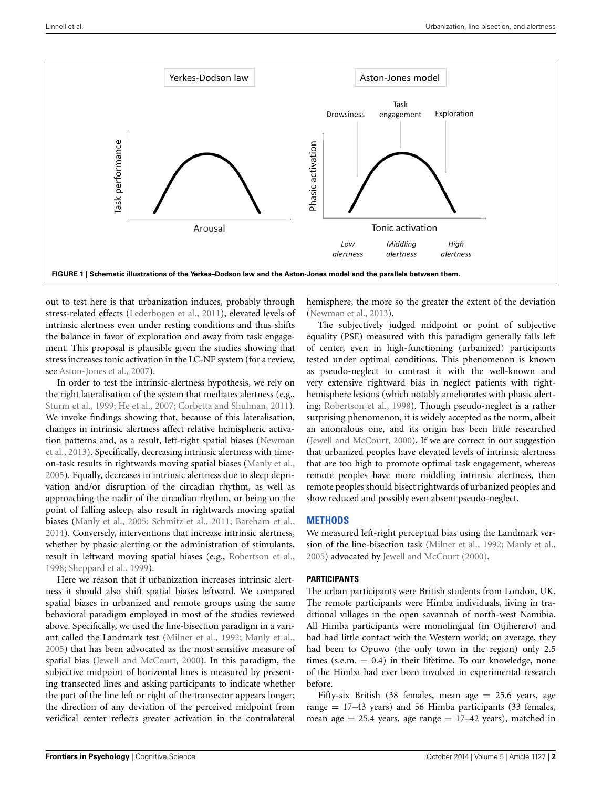

<span id="page-1-0"></span>out to test here is that urbanization induces, probably through stress-related effects [\(Lederbogen et al., 2011](#page-5-7)), elevated levels of intrinsic alertness even under resting conditions and thus shifts the balance in favor of exploration and away from task engagement. This proposal is plausible given the studies showing that stress increases tonic activation in the LC-NE system (for a review, see [Aston-Jones et al.](#page-5-8), [2007\)](#page-5-8).

In order to test the intrinsic-alertness hypothesis, we rely on the right lateralisation of the system that mediates alertness (e.g., [Sturm et al., 1999](#page-6-1); [He et al., 2007;](#page-5-9) [Corbetta and Shulman](#page-5-10), [2011](#page-5-10)). We invoke findings showing that, because of this lateralisation, changes in intrinsic alertness affect relative hemispheric activation [patterns and, as a result, left-right spatial biases \(](#page-5-11)Newman et al., [2013\)](#page-5-11). Specifically, decreasing intrinsic alertness with timeon-task results in rightwards moving spatial biases [\(Manly et al.](#page-5-12), [2005](#page-5-12)). Equally, decreases in intrinsic alertness due to sleep deprivation and/or disruption of the circadian rhythm, as well as approaching the nadir of the circadian rhythm, or being on the point of falling asleep, also result in rightwards moving spatial biases [\(Manly et al., 2005;](#page-5-12) [Schmitz et al., 2011](#page-5-13); [Bareham et al.](#page-5-14), [2014](#page-5-14)). Conversely, interventions that increase intrinsic alertness, whether by phasic alerting or the administration of stimulants, result in leftward moving spatial biases (e.g., [Robertson et al.](#page-5-15), [1998](#page-5-15); [Sheppard et al.](#page-5-16), [1999\)](#page-5-16).

Here we reason that if urbanization increases intrinsic alertness it should also shift spatial biases leftward. We compared spatial biases in urbanized and remote groups using the same behavioral paradigm employed in most of the studies reviewed above. Specifically, we used the line-bisection paradigm in a variant called the Landmark test [\(Milner et al.](#page-5-17), [1992](#page-5-17); [Manly et al.](#page-5-12), [2005](#page-5-12)) that has been advocated as the most sensitive measure of spatial bias [\(Jewell and McCourt](#page-5-18), [2000](#page-5-18)). In this paradigm, the subjective midpoint of horizontal lines is measured by presenting transected lines and asking participants to indicate whether the part of the line left or right of the transector appears longer; the direction of any deviation of the perceived midpoint from veridical center reflects greater activation in the contralateral

hemisphere, the more so the greater the extent of the deviation [\(Newman et al.](#page-5-11), [2013](#page-5-11)).

The subjectively judged midpoint or point of subjective equality (PSE) measured with this paradigm generally falls left of center, even in high-functioning (urbanized) participants tested under optimal conditions. This phenomenon is known as pseudo-neglect to contrast it with the well-known and very extensive rightward bias in neglect patients with righthemisphere lesions (which notably ameliorates with phasic alerting; [Robertson et al., 1998](#page-5-15)). Though pseudo-neglect is a rather surprising phenomenon, it is widely accepted as the norm, albeit an anomalous one, and its origin has been little researched [\(Jewell and McCourt](#page-5-18), [2000](#page-5-18)). If we are correct in our suggestion that urbanized peoples have elevated levels of intrinsic alertness that are too high to promote optimal task engagement, whereas remote peoples have more middling intrinsic alertness, then remote peoples should bisect rightwards of urbanized peoples and show reduced and possibly even absent pseudo-neglect.

## **METHODS**

We measured left-right perceptual bias using the Landmark version of the line-bisection task [\(Milner et al.](#page-5-17), [1992;](#page-5-17) [Manly et al.](#page-5-12), [2005](#page-5-12)) advocated by [Jewell and McCourt](#page-5-18) [\(2000](#page-5-18)).

## **PARTICIPANTS**

The urban participants were British students from London, UK. The remote participants were Himba individuals, living in traditional villages in the open savannah of north-west Namibia. All Himba participants were monolingual (in Otjiherero) and had had little contact with the Western world; on average, they had been to Opuwo (the only town in the region) only 2.5 times (s.e.m.  $= 0.4$ ) in their lifetime. To our knowledge, none of the Himba had ever been involved in experimental research before.

Fifty-six British (38 females, mean age  $= 25.6$  years, age range  $= 17-43$  years) and 56 Himba participants (33 females, mean age  $= 25.4$  years, age range  $= 17-42$  years), matched in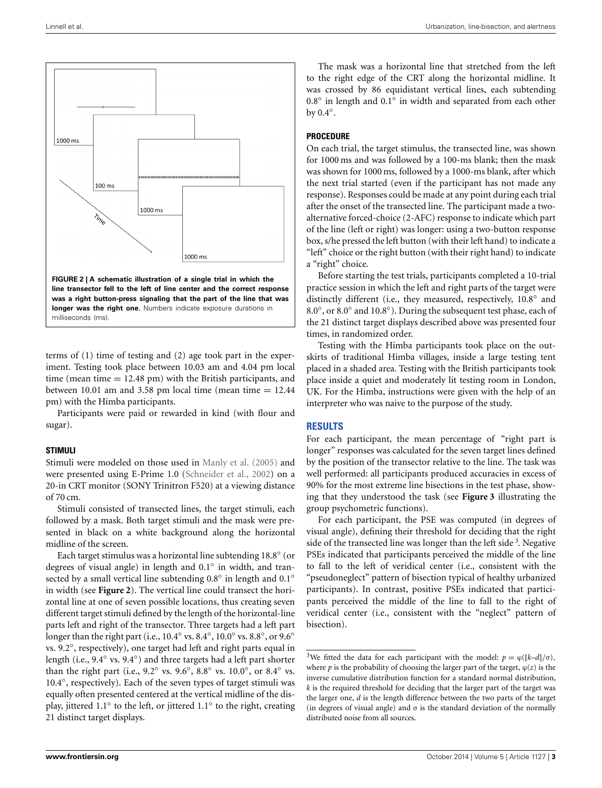

<span id="page-2-0"></span>terms of (1) time of testing and (2) age took part in the experiment. Testing took place between 10.03 am and 4.04 pm local time (mean time  $= 12.48$  pm) with the British participants, and between 10.01 am and 3.58 pm local time (mean time  $= 12.44$ pm) with the Himba participants.

Participants were paid or rewarded in kind (with flour and sugar).

#### **STIMULI**

Stimuli were modeled on those used in [Manly et al.](#page-5-12) [\(2005](#page-5-12)) and were presented using E-Prime 1.0 [\(Schneider et al., 2002](#page-5-19)) on a 20-in CRT monitor (SONY Trinitron F520) at a viewing distance of 70 cm.

Stimuli consisted of transected lines, the target stimuli, each followed by a mask. Both target stimuli and the mask were presented in black on a white background along the horizontal midline of the screen.

Each target stimulus was a horizontal line subtending 18.8◦ (or degrees of visual angle) in length and 0.1◦ in width, and transected by a small vertical line subtending 0.8<sup>°</sup> in length and 0.1<sup>°</sup> in width (see **[Figure 2](#page-2-0)**). The vertical line could transect the horizontal line at one of seven possible locations, thus creating seven different target stimuli defined by the length of the horizontal-line parts left and right of the transector. Three targets had a left part longer than the right part (i.e., 10.4◦ vs. 8.4◦, 10.0◦ vs. 8.8◦, or 9.6◦ vs. 9.2◦, respectively), one target had left and right parts equal in length (i.e., 9.4◦ vs. 9.4◦) and three targets had a left part shorter than the right part (i.e.,  $9.2°$  vs.  $9.6°$ ,  $8.8°$  vs.  $10.0°$ , or  $8.4°$  vs. 10.4◦, respectively). Each of the seven types of target stimuli was equally often presented centered at the vertical midline of the display, jittered 1.1◦ to the left, or jittered 1.1◦ to the right, creating 21 distinct target displays.

The mask was a horizontal line that stretched from the left to the right edge of the CRT along the horizontal midline. It was crossed by 86 equidistant vertical lines, each subtending 0.8◦ in length and 0.1◦ in width and separated from each other by 0.4◦.

# **PROCEDURE**

On each trial, the target stimulus, the transected line, was shown for 1000 ms and was followed by a 100-ms blank; then the mask was shown for 1000 ms, followed by a 1000-ms blank, after which the next trial started (even if the participant has not made any response). Responses could be made at any point during each trial after the onset of the transected line. The participant made a twoalternative forced-choice (2-AFC) response to indicate which part of the line (left or right) was longer: using a two-button response box, s/he pressed the left button (with their left hand) to indicate a "left" choice or the right button (with their right hand) to indicate a "right" choice.

Before starting the test trials, participants completed a 10-trial practice session in which the left and right parts of the target were distinctly different (i.e., they measured, respectively, 10.8◦ and 8.0◦, or 8.0◦ and 10.8◦). During the subsequent test phase, each of the 21 distinct target displays described above was presented four times, in randomized order.

Testing with the Himba participants took place on the outskirts of traditional Himba villages, inside a large testing tent placed in a shaded area. Testing with the British participants took place inside a quiet and moderately lit testing room in London, UK. For the Himba, instructions were given with the help of an interpreter who was naive to the purpose of the study.

# **RESULTS**

For each participant, the mean percentage of "right part is longer" responses was calculated for the seven target lines defined by the position of the transector relative to the line. The task was well performed: all participants produced accuracies in excess of 90% for the most extreme line bisections in the test phase, showing that they understood the task (see **[Figure 3](#page-3-0)** illustrating the group psychometric functions).

<span id="page-2-1"></span>For each participant, the PSE was computed (in degrees of visual angle), defining their threshold for deciding that the right side of the transected line was longer than the left side<sup>[3](#page-2-1)</sup>. Negative PSEs indicated that participants perceived the middle of the line to fall to the left of veridical center (i.e., consistent with the "pseudoneglect" pattern of bisection typical of healthy urbanized participants). In contrast, positive PSEs indicated that participants perceived the middle of the line to fall to the right of veridical center (i.e., consistent with the "neglect" pattern of bisection).

<sup>&</sup>lt;sup>3</sup>We fitted the data for each participant with the model:  $p = \varphi([k-d]/\sigma)$ , where  $p$  is the probability of choosing the larger part of the target,  $\varphi(z)$  is the inverse cumulative distribution function for a standard normal distribution, *k* is the required threshold for deciding that the larger part of the target was the larger one, *d* is the length difference between the two parts of the target (in degrees of visual angle) and  $\sigma$  is the standard deviation of the normally distributed noise from all sources.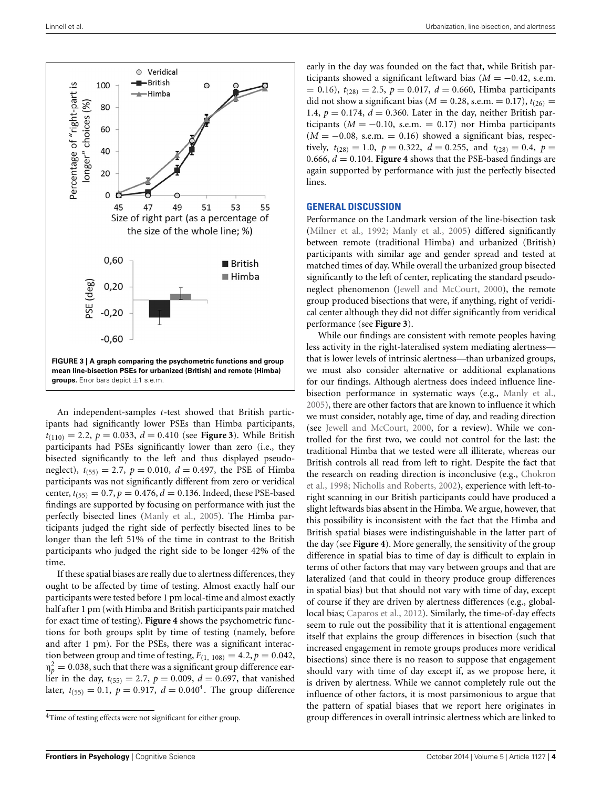

<span id="page-3-0"></span>An independent-samples *t*-test showed that British participants had significantly lower PSEs than Himba participants,  $t_{(110)} = 2.2$ ,  $p = 0.033$ ,  $d = 0.410$  (see **[Figure 3](#page-3-0)**). While British participants had PSEs significantly lower than zero (i.e., they bisected significantly to the left and thus displayed pseudoneglect),  $t_{(55)} = 2.7$ ,  $p = 0.010$ ,  $d = 0.497$ , the PSE of Himba participants was not significantly different from zero or veridical center,  $t_{(55)} = 0.7$ ,  $p = 0.476$ ,  $d = 0.136$ . Indeed, these PSE-based findings are supported by focusing on performance with just the perfectly bisected lines [\(Manly et al.](#page-5-12), [2005\)](#page-5-12). The Himba participants judged the right side of perfectly bisected lines to be longer than the left 51% of the time in contrast to the British participants who judged the right side to be longer 42% of the time.

If these spatial biases are really due to alertness differences, they ought to be affected by time of testing. Almost exactly half our participants were tested before 1 pm local-time and almost exactly half after 1 pm (with Himba and British participants pair matched for exact time of testing). **[Figure 4](#page-4-0)** shows the psychometric functions for both groups split by time of testing (namely, before and after 1 pm). For the PSEs, there was a significant interaction between group and time of testing,  $F_{(1, 108)} = 4.2$ ,  $p = 0.042$ ,  $\eta_p^2 = 0.038$ , such that there was a significant group difference earlier in the day,  $t_{(55)} = 2.7$ ,  $p = 0.009$ ,  $d = 0.697$ , that vanished later,  $t_{(55)} = 0.1$ ,  $p = 0.917$ ,  $d = 0.040<sup>4</sup>$  $d = 0.040<sup>4</sup>$  $d = 0.040<sup>4</sup>$ . The group difference

early in the day was founded on the fact that, while British participants showed a significant leftward bias ( $M = -0.42$ , s.e.m.  $= 0.16$ ,  $t_{(28)} = 2.5$ ,  $p = 0.017$ ,  $d = 0.660$ , Himba participants did not show a significant bias ( $M = 0.28$ , s.e.m. = 0.17),  $t_{(26)} =$ 1.4,  $p = 0.174$ ,  $d = 0.360$ . Later in the day, neither British participants ( $M = -0.10$ , s.e.m. = 0.17) nor Himba participants  $(M = -0.08, s.e.m. = 0.16)$  showed a significant bias, respectively,  $t_{(28)} = 1.0$ ,  $p = 0.322$ ,  $d = 0.255$ , and  $t_{(28)} = 0.4$ ,  $p =$ 0.666,  $d = 0.104$ . **[Figure 4](#page-4-0)** shows that the PSE-based findings are again supported by performance with just the perfectly bisected lines.

#### **GENERAL DISCUSSION**

Performance on the Landmark version of the line-bisection task [\(Milner et al.](#page-5-17), [1992;](#page-5-17) [Manly et al.](#page-5-12), [2005](#page-5-12)) differed significantly between remote (traditional Himba) and urbanized (British) participants with similar age and gender spread and tested at matched times of day. While overall the urbanized group bisected significantly to the left of center, replicating the standard pseudoneglect phenomenon [\(Jewell and McCourt](#page-5-18), [2000\)](#page-5-18), the remote group produced bisections that were, if anything, right of veridical center although they did not differ significantly from veridical performance (see **[Figure 3](#page-3-0)**).

While our findings are consistent with remote peoples having less activity in the right-lateralised system mediating alertness that is lower levels of intrinsic alertness—than urbanized groups, we must also consider alternative or additional explanations for our findings. Although alertness does indeed influence linebisection performance in systematic ways (e.g., [Manly et al.](#page-5-12), [2005](#page-5-12)), there are other factors that are known to influence it which we must consider, notably age, time of day, and reading direction (see [Jewell and McCourt, 2000](#page-5-18), for a review). While we controlled for the first two, we could not control for the last: the traditional Himba that we tested were all illiterate, whereas our British controls all read from left to right. Despite the fact that the [research on reading direction is inconclusive \(e.g.,](#page-5-20) Chokron et al., [1998](#page-5-20); [Nicholls and Roberts](#page-5-21), [2002](#page-5-21)), experience with left-toright scanning in our British participants could have produced a slight leftwards bias absent in the Himba. We argue, however, that this possibility is inconsistent with the fact that the Himba and British spatial biases were indistinguishable in the latter part of the day (see **[Figure 4](#page-4-0)**). More generally, the sensitivity of the group difference in spatial bias to time of day is difficult to explain in terms of other factors that may vary between groups and that are lateralized (and that could in theory produce group differences in spatial bias) but that should not vary with time of day, except of course if they are driven by alertness differences (e.g., globallocal bias; [Caparos et al., 2012\)](#page-5-22). Similarly, the time-of-day effects seem to rule out the possibility that it is attentional engagement itself that explains the group differences in bisection (such that increased engagement in remote groups produces more veridical bisections) since there is no reason to suppose that engagement should vary with time of day except if, as we propose here, it is driven by alertness. While we cannot completely rule out the influence of other factors, it is most parsimonious to argue that the pattern of spatial biases that we report here originates in group differences in overall intrinsic alertness which are linked to

<span id="page-3-1"></span><sup>4</sup>Time of testing effects were not significant for either group.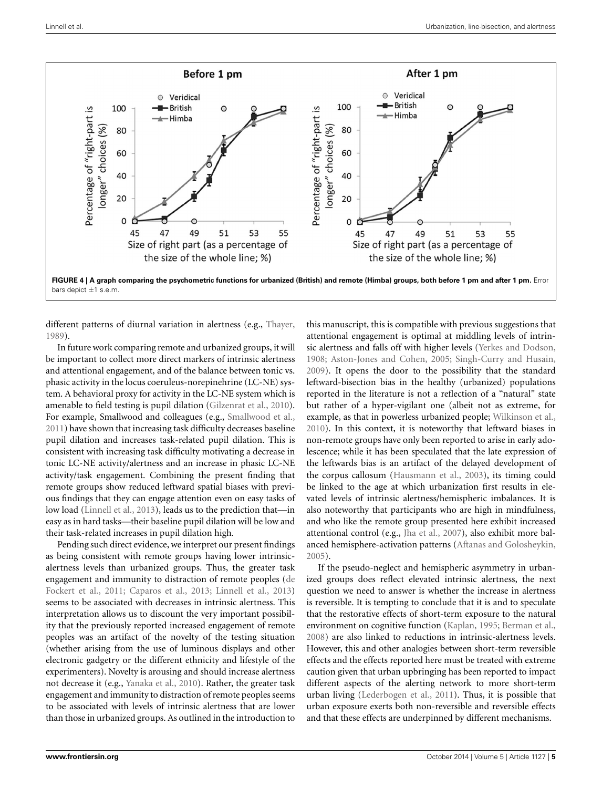

<span id="page-4-0"></span>**FIGURE 4 | A graph comparing the psychometric functions for urbanized (British) and remote (Himba) groups, both before 1 pm and after 1 pm.** Error bars depict ±1 s.e.m.

different patterns of diurnal variation in alertness (e.g., [Thayer,](#page-6-2) [1989](#page-6-2)).

In future work comparing remote and urbanized groups, it will be important to collect more direct markers of intrinsic alertness and attentional engagement, and of the balance between tonic vs. phasic activity in the locus coeruleus-norepinehrine (LC-NE) system. A behavioral proxy for activity in the LC-NE system which is amenable to field testing is pupil dilation [\(Gilzenrat et al.](#page-5-23), [2010](#page-5-23)). For example, Smallwood and colleagues (e.g., [Smallwood et al.,](#page-5-24) [2011](#page-5-24)) have shown that increasing task difficulty decreases baseline pupil dilation and increases task-related pupil dilation. This is consistent with increasing task difficulty motivating a decrease in tonic LC-NE activity/alertness and an increase in phasic LC-NE activity/task engagement. Combining the present finding that remote groups show reduced leftward spatial biases with previous findings that they can engage attention even on easy tasks of low load [\(Linnell et al., 2013](#page-5-2)), leads us to the prediction that—in easy as in hard tasks—their baseline pupil dilation will be low and their task-related increases in pupil dilation high.

Pending such direct evidence, we interpret our present findings as being consistent with remote groups having lower intrinsicalertness levels than urbanized groups. Thus, the greater task engagement [and immunity to distraction of remote peoples \(](#page-5-0)de Fockert et al., [2011;](#page-5-0) [Caparos et al., 2013](#page-5-1); [Linnell et al., 2013](#page-5-2)) seems to be associated with decreases in intrinsic alertness. This interpretation allows us to discount the very important possibility that the previously reported increased engagement of remote peoples was an artifact of the novelty of the testing situation (whether arising from the use of luminous displays and other electronic gadgetry or the different ethnicity and lifestyle of the experimenters). Novelty is arousing and should increase alertness not decrease it (e.g., [Yanaka et al.](#page-6-3), [2010](#page-6-3)). Rather, the greater task engagement and immunity to distraction of remote peoples seems to be associated with levels of intrinsic alertness that are lower than those in urbanized groups. As outlined in the introduction to

this manuscript, this is compatible with previous suggestions that attentional engagement is optimal at middling levels of intrinsic alertness and falls off with higher levels [\(Yerkes and Dodson,](#page-6-0) [1908](#page-6-0); [Aston-Jones and Cohen, 2005;](#page-5-5) [Singh-Curry and Husain,](#page-5-6) [2009](#page-5-6)). It opens the door to the possibility that the standard leftward-bisection bias in the healthy (urbanized) populations reported in the literature is not a reflection of a "natural" state but rather of a hyper-vigilant one (albeit not as extreme, for example, as that in powerless urbanized people; [Wilkinson et al.,](#page-6-4) [2010](#page-6-4)). In this context, it is noteworthy that leftward biases in non-remote groups have only been reported to arise in early adolescence; while it has been speculated that the late expression of the leftwards bias is an artifact of the delayed development of the corpus callosum [\(Hausmann et al.](#page-5-25), [2003](#page-5-25)), its timing could be linked to the age at which urbanization first results in elevated levels of intrinsic alertness/hemispheric imbalances. It is also noteworthy that participants who are high in mindfulness, and who like the remote group presented here exhibit increased attentional control (e.g., [Jha et al.](#page-5-26), [2007](#page-5-26)), also exhibit more balanced hemisphere-activation patterns [\(Aftanas and Golosheykin,](#page-5-27) [2005](#page-5-27)).

If the pseudo-neglect and hemispheric asymmetry in urbanized groups does reflect elevated intrinsic alertness, the next question we need to answer is whether the increase in alertness is reversible. It is tempting to conclude that it is and to speculate that the restorative effects of short-term exposure to the natural environment on cognitive function [\(Kaplan](#page-5-28), [1995](#page-5-28); [Berman et al.,](#page-5-29) [2008](#page-5-29)) are also linked to reductions in intrinsic-alertness levels. However, this and other analogies between short-term reversible effects and the effects reported here must be treated with extreme caution given that urban upbringing has been reported to impact different aspects of the alerting network to more short-term urban living [\(Lederbogen et al., 2011\)](#page-5-7). Thus, it is possible that urban exposure exerts both non-reversible and reversible effects and that these effects are underpinned by different mechanisms.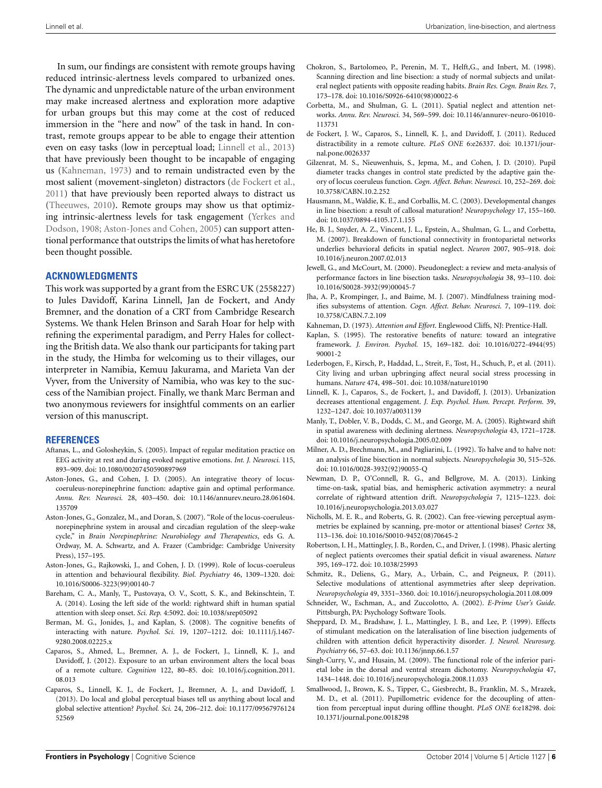In sum, our findings are consistent with remote groups having reduced intrinsic-alertness levels compared to urbanized ones. The dynamic and unpredictable nature of the urban environment may make increased alertness and exploration more adaptive for urban groups but this may come at the cost of reduced immersion in the "here and now" of the task in hand. In contrast, remote groups appear to be able to engage their attention even on easy tasks (low in perceptual load; [Linnell et al., 2013](#page-5-2)) that have previously been thought to be incapable of engaging us [\(Kahneman](#page-5-3), [1973\)](#page-5-3) and to remain undistracted even by the most salient (movement-singleton) distractors [\(de Fockert et al.](#page-5-0), [2011](#page-5-0)) that have previously been reported always to distract us [\(Theeuwes](#page-6-5), [2010\)](#page-6-5). Remote groups may show us that optimizing intr[insic-alertness levels for task engagement \(](#page-6-0)Yerkes and Dodson, [1908](#page-6-0); [Aston-Jones and Cohen](#page-5-5), [2005\)](#page-5-5) can support attentional performance that outstrips the limits of what has heretofore been thought possible.

## **ACKNOWLEDGMENTS**

This work was supported by a grant from the ESRC UK (2558227) to Jules Davidoff, Karina Linnell, Jan de Fockert, and Andy Bremner, and the donation of a CRT from Cambridge Research Systems. We thank Helen Brinson and Sarah Hoar for help with refining the experimental paradigm, and Perry Hales for collecting the British data. We also thank our participants for taking part in the study, the Himba for welcoming us to their villages, our interpreter in Namibia, Kemuu Jakurama, and Marieta Van der Vyver, from the University of Namibia, who was key to the success of the Namibian project. Finally, we thank Marc Berman and two anonymous reviewers for insightful comments on an earlier version of this manuscript.

#### **REFERENCES**

- <span id="page-5-27"></span>Aftanas, L., and Golosheykin, S. (2005). Impact of regular meditation practice on EEG activity at rest and during evoked negative emotions. *Int. J. Neurosci.* 115, 893–909. doi: 10.1080/00207450590897969
- <span id="page-5-5"></span>Aston-Jones, G., and Cohen, J. D. (2005). An integrative theory of locuscoeruleus-norepinephrine function: adaptive gain and optimal performance. *Annu. Rev. Neurosci.* 28, 403–450. doi: 10.1146/annurev.neuro.28.061604. 135709
- <span id="page-5-8"></span>Aston-Jones, G., Gonzalez, M., and Doran, S. (2007). "Role of the locus-coeruleusnorepinephrine system in arousal and circadian regulation of the sleep-wake cycle," in *Brain Norepinephrine: Neurobiology and Therapeutics*, eds G. A. Ordway, M. A. Schwartz, and A. Frazer (Cambridge: Cambridge University Press), 157–195.
- <span id="page-5-4"></span>Aston-Jones, G., Rajkowski, J., and Cohen, J. D. (1999). Role of locus-coeruleus in attention and behavioural flexibility. *Biol. Psychiatry* 46, 1309–1320. doi: 10.1016/S0006-3223(99)00140-7
- <span id="page-5-14"></span>Bareham, C. A., Manly, T., Pustovaya, O. V., Scott, S. K., and Bekinschtein, T. A. (2014). Losing the left side of the world: rightward shift in human spatial attention with sleep onset. *Sci. Rep.* 4:5092. doi: 10.1038/srep05092
- <span id="page-5-29"></span>Berman, M. G., Jonides, J., and Kaplan, S. (2008). The cognitive benefits of interacting with nature. *Psychol. Sci.* 19, 1207–1212. doi: 10.1111/j.1467- 9280.2008.02225.x
- <span id="page-5-22"></span>Caparos, S., Ahmed, L., Bremner, A. J., de Fockert, J., Linnell, K. J., and Davidoff, J. (2012). Exposure to an urban environment alters the local boas of a remote culture. *Cognition* 122, 80–85. doi: 10.1016/j.cognition.2011. 08.013
- <span id="page-5-1"></span>Caparos, S., Linnell, K. J., de Fockert, J., Bremner, A. J., and Davidoff, J. (2013). Do local and global perceptual biases tell us anything about local and global selective attention? *Psychol. Sci.* 24, 206–212. doi: 10.1177/09567976124 52569
- <span id="page-5-20"></span>Chokron, S., Bartolomeo, P., Perenin, M. T., Helft,G., and Inbert, M. (1998). Scanning direction and line bisection: a study of normal subjects and unilateral neglect patients with opposite reading habits. *Brain Res. Cogn. Brain Res.* 7, 173–178. doi: 10.1016/S0926-6410(98)00022-6
- <span id="page-5-10"></span>Corbetta, M., and Shulman, G. L. (2011). Spatial neglect and attention networks. *Annu. Rev. Neurosci.* 34, 569–599. doi: 10.1146/annurev-neuro-061010- 113731
- <span id="page-5-0"></span>de Fockert, J. W., Caparos, S., Linnell, K. J., and Davidoff, J. (2011). Reduced distractibility in a remote culture. *PLoS ONE* 6:e26337. doi: 10.1371/journal.pone.0026337
- <span id="page-5-23"></span>Gilzenrat, M. S., Nieuwenhuis, S., Jepma, M., and Cohen, J. D. (2010). Pupil diameter tracks changes in control state predicted by the adaptive gain theory of locus coeruleus function. *Cogn. Affect. Behav. Neurosci.* 10, 252–269. doi: 10.3758/CABN.10.2.252
- <span id="page-5-25"></span>Hausmann, M., Waldie, K. E., and Corballis, M. C. (2003). Developmental changes in line bisection: a result of callosal maturation? *Neuropsychology* 17, 155–160. doi: 10.1037/0894-4105.17.1.155
- <span id="page-5-9"></span>He, B. J., Snyder, A. Z., Vincent, J. L., Epstein, A., Shulman, G. L., and Corbetta, M. (2007). Breakdown of functional connectivity in frontoparietal networks underlies behavioral deficits in spatial neglect. *Neuron* 2007, 905–918. doi: 10.1016/j.neuron.2007.02.013
- <span id="page-5-18"></span>Jewell, G., and McCourt, M. (2000). Pseudoneglect: a review and meta-analysis of performance factors in line bisection tasks. *Neuropsychologia* 38, 93–110. doi: 10.1016/S0028-3932(99)00045-7
- <span id="page-5-26"></span>Jha, A. P., Krompinger, J., and Baime, M. J. (2007). Mindfulness training modifies subsystems of attention. *Cogn. Affect. Behav. Neurosci.* 7, 109–119. doi: 10.3758/CABN.7.2.109
- <span id="page-5-3"></span>Kahneman, D. (1973). *Attention and Effort*. Englewood Cliffs, NJ: Prentice-Hall.
- <span id="page-5-28"></span>Kaplan, S. (1995). The restorative benefits of nature: toward an integrative framework. *J. Environ. Psychol.* 15, 169–182. doi: 10.1016/0272-4944(95) 90001-2
- <span id="page-5-7"></span>Lederbogen, F., Kirsch, P., Haddad, L., Streit, F., Tost, H., Schuch, P., et al. (2011). City living and urban upbringing affect neural social stress processing in humans. *Nature* 474, 498–501. doi: 10.1038/nature10190
- <span id="page-5-2"></span>Linnell, K. J., Caparos, S., de Fockert, J., and Davidoff, J. (2013). Urbanization decreases attentional engagement. *J. Exp. Psychol. Hum. Percept. Perform.* 39, 1232–1247. doi: 10.1037/a0031139
- <span id="page-5-12"></span>Manly, T., Dobler, V. B., Dodds, C. M., and George, M. A. (2005). Rightward shift in spatial awareness with declining alertness. *Neuropsychologia* 43, 1721–1728. doi: 10.1016/j.neuropsychologia.2005.02.009
- <span id="page-5-17"></span>Milner, A. D., Brechmann, M., and Pagliarini, L. (1992). To halve and to halve not: an analysis of line bisection in normal subjects. *Neuropsychologia* 30, 515–526. doi: 10.1016/0028-3932(92)90055-Q
- <span id="page-5-11"></span>Newman, D. P., O'Connell, R. G., and Bellgrove, M. A. (2013). Linking time-on-task, spatial bias, and hemispheric activation asymmetry: a neural correlate of rightward attention drift. *Neuropsychologia* 7, 1215–1223. doi: 10.1016/j.neuropsychologia.2013.03.027
- <span id="page-5-21"></span>Nicholls, M. E. R., and Roberts, G. R. (2002). Can free-viewing perceptual asymmetries be explained by scanning, pre-motor or attentional biases? *Cortex* 38, 113–136. doi: 10.1016/S0010-9452(08)70645-2
- <span id="page-5-15"></span>Robertson, I. H., Mattingley, J. B., Rorden, C., and Driver, J. (1998). Phasic alerting of neglect patients overcomes their spatial deficit in visual awareness. *Nature* 395, 169–172. doi: 10.1038/25993
- <span id="page-5-13"></span>Schmitz, R., Deliens, G., Mary, A., Urbain, C., and Peigneux, P. (2011). Selective modulations of attentional asymmetries after sleep deprivation. *Neuropsychologia* 49, 3351–3360. doi: 10.1016/j.neuropsychologia.2011.08.009
- <span id="page-5-19"></span>Schneider, W., Eschman, A., and Zuccolotto, A. (2002). *E-Prime User's Guide*. Pittsburgh, PA: Psychology Software Tools.
- <span id="page-5-16"></span>Sheppard, D. M., Bradshaw, J. L., Mattingley, J. B., and Lee, P. (1999). Effects of stimulant medication on the lateralisation of line bisection judgements of children with attention deficit hyperactivity disorder*. J. Neurol. Neurosurg. Psychiatry* 66, 57–63. doi: 10.1136/jnnp.66.1.57
- <span id="page-5-6"></span>Singh-Curry, V., and Husain, M. (2009). The functional role of the inferior parietal lobe in the dorsal and ventral stream dichotomy. *Neuropsychologia* 47, 1434–1448. doi: 10.1016/j.neuropsychologia.2008.11.033
- <span id="page-5-24"></span>Smallwood, J., Brown, K. S., Tipper, C., Giesbrecht, B., Franklin, M. S., Mrazek, M. D., et al. (2011). Pupillometric evidence for the decoupling of attention from perceptual input during offline thought. *PLoS ONE* 6:e18298. doi: 10.1371/journal.pone.0018298